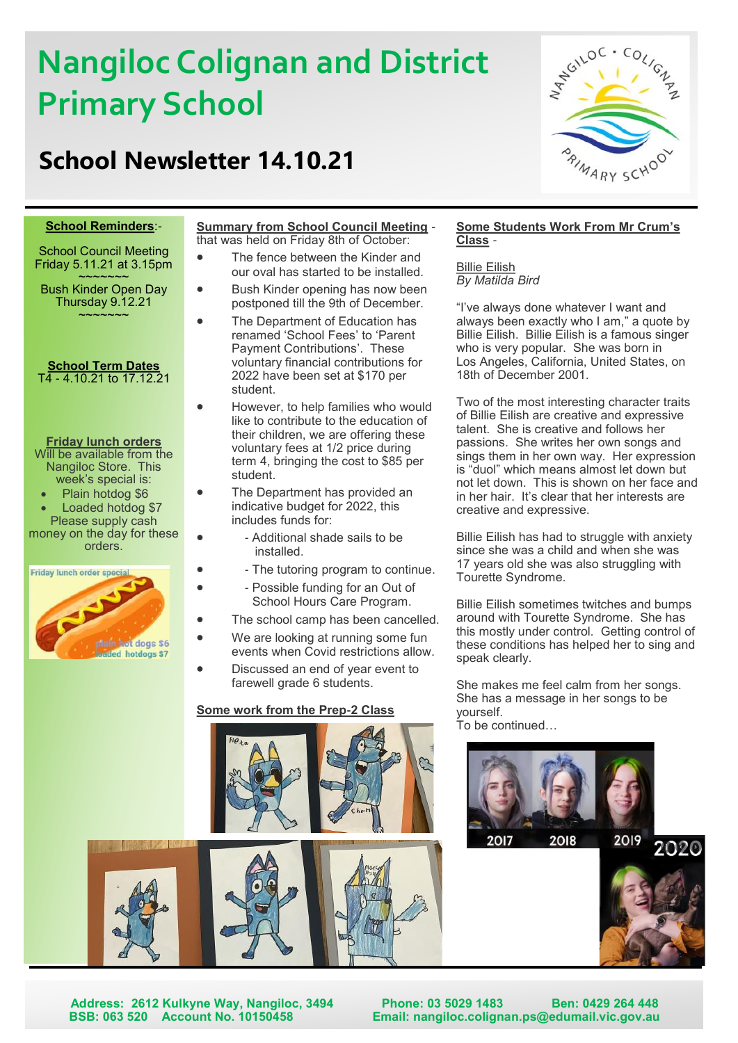# **Nangiloc Colignan and District** **Primary School**

# **School Newsletter 14.10.21**



#### **School Reminders**:-

School Council Meeting Friday 5.11.21 at 3.15pm  $\sim$  $\sim$  $\sim$  $\sim$  $\sim$  $\sim$ 

Bush Kinder Open Day Thursday 9.12.21  $\sim$ ~~~~~

#### **School Term Dates** T4 - 4.10.21 to 17.12.21

#### **Friday lunch orders**

Will be available from the Nangiloc Store. This week's special is:

• Plain hotdog \$6

Loaded hotdog \$7 Please supply cash money on the day for these orders.



#### **Summary from School Council Meeting** that was held on Friday 8th of October:

- The fence between the Kinder and our oval has started to be installed.
- Bush Kinder opening has now been postponed till the 9th of December.
- The Department of Education has renamed 'School Fees' to 'Parent Payment Contributions'. These voluntary financial contributions for 2022 have been set at \$170 per student.
	- However, to help families who would like to contribute to the education of their children, we are offering these voluntary fees at 1/2 price during term 4, bringing the cost to \$85 per student.
	- The Department has provided an indicative budget for 2022, this includes funds for:
		- - Additional shade sails to be installed.
		- - The tutoring program to continue.
		- - Possible funding for an Out of School Hours Care Program.
- The school camp has been cancelled.
- We are looking at running some fun
- events when Covid restrictions allow. • Discussed an end of year event to farewell grade 6 students.

#### **Some work from the Prep-2 Class**





#### **Some Students Work From Mr Crum's Class** -

Billie Eilish *By Matilda Bird*

"I've always done whatever I want and always been exactly who I am," a quote by Billie Eilish. Billie Eilish is a famous singer who is very popular. She was born in Los Angeles, California, United States, on 18th of December 2001.

Two of the most interesting character traits of Billie Eilish are creative and expressive talent. She is creative and follows her passions. She writes her own songs and sings them in her own way. Her expression is "duol" which means almost let down but not let down. This is shown on her face and in her hair. It's clear that her interests are creative and expressive.

Billie Eilish has had to struggle with anxiety since she was a child and when she was 17 years old she was also struggling with Tourette Syndrome.

Billie Eilish sometimes twitches and bumps around with Tourette Syndrome. She has this mostly under control. Getting control of these conditions has helped her to sing and speak clearly.

She makes me feel calm from her songs. She has a message in her songs to be yourself.

To be continued…







**Address: 2612 Kulkyne Way, Nangiloc, 3494 Phone: 03 5029 1483 Ben: 0429 264 448 Email: nangiloc.colignan.ps@edumail.vic.gov.au**